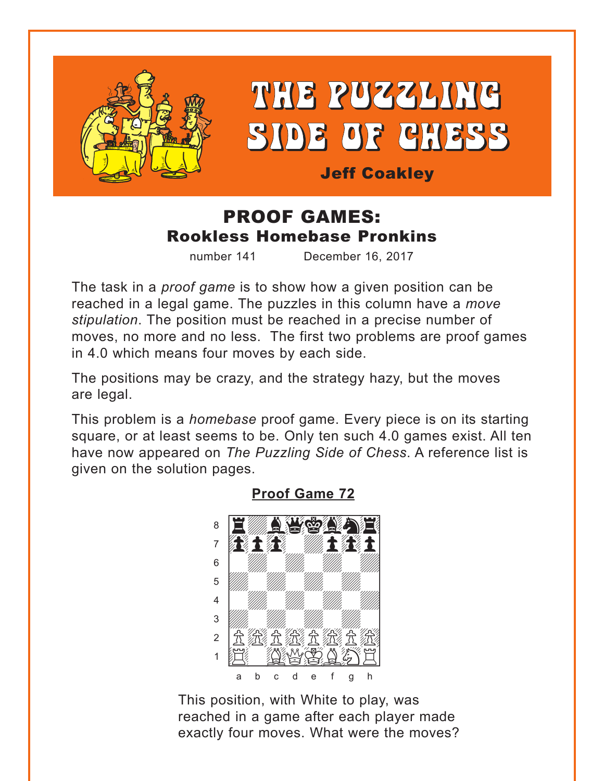<span id="page-0-0"></span>

# THE PUZZLING **SIDE OF CHESS**

**Jeff Coakley** 

## **PROOF GAMES: Rookless Homebase Pronkins**

number 141 December 16, 2017

The task in a *proof game* is to show how a given position can be reached in a legal game. The puzzles in this column have a move stipulation. The position must be reached in a precise number of moves, no more and no less. The first two problems are proof games in 4.0 which means four moves by each side.

The positions may be crazy, and the strategy hazy, but the moves are legal.

This problem is a *homebase* proof game. Every piece is on its starting square, or at least seems to be. Only ten such 4.0 games exist. All ten have now appeared on The Puzzling Side of Chess. A reference list is given on the solution pages.



**Proof Game 72** 

This position, with White to play, was reached in a game after each player made exactly four moves. What were the moves?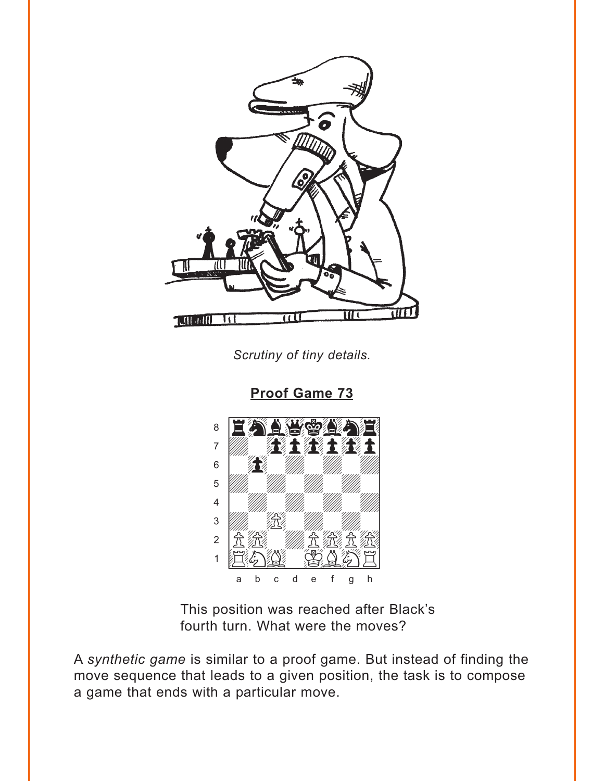<span id="page-1-0"></span>

Scrutiny of tiny details.

**Proof Game 73** 



This position was reached after Black's fourth turn. What were the moves?

A synthetic game is similar to a proof game. But instead of finding the move sequence that leads to a given position, the task is to compose a game that ends with a particular move.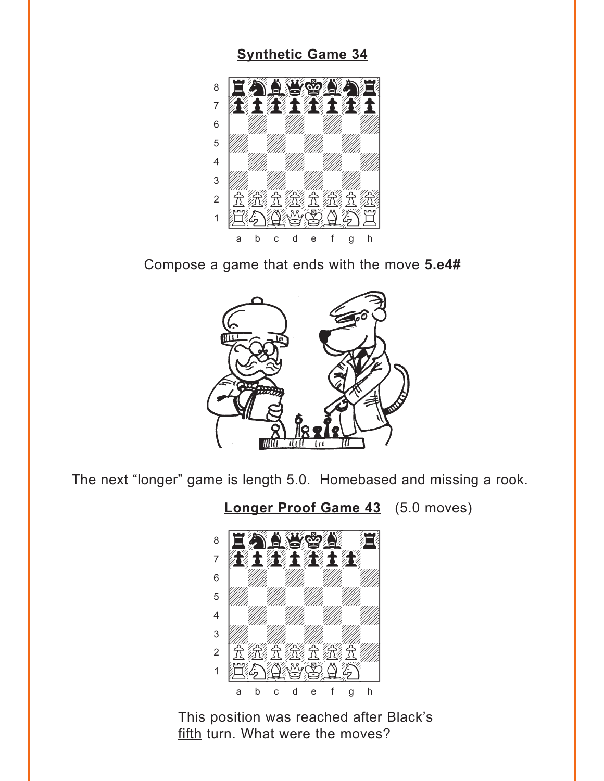#### **[Synthetic Game 34](#page-6-0)**

<span id="page-2-0"></span>

Compose a game that ends with the move **5.e4#**



The next "longer" game is length 5.0. Homebased and missing a rook.

**[Longer Proof Game 43](#page-6-0)** (5.0 moves)



This position was reached after Black's fifth turn. What were the moves?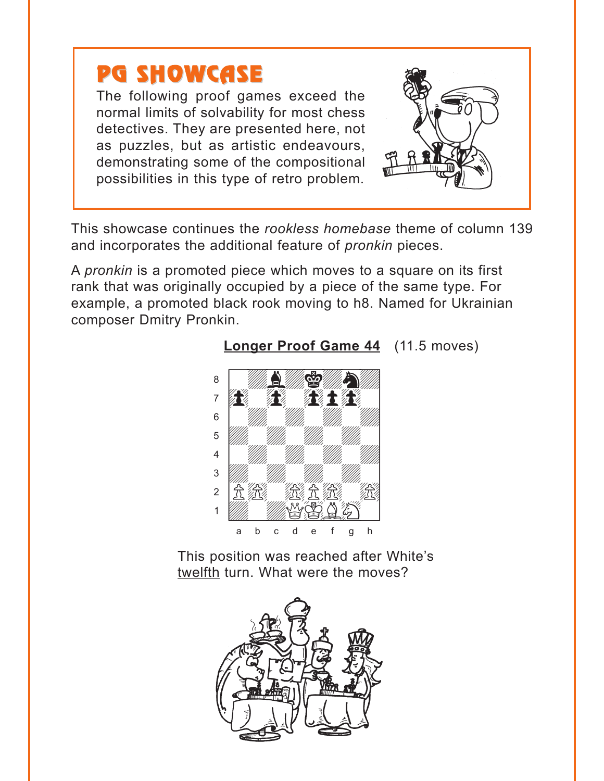## <span id="page-3-0"></span>PG SHOWCASE

The following proof games exceed the normal limits of solvability for most chess detectives. They are presented here, not as puzzles, but as artistic endeavours, demonstrating some of the compositional possibilities in this type of retro problem.



This showcase continues the *rookless homebase* theme of column 139 and incorporates the additional feature of *pronkin* pieces.

A *pronkin* is a promoted piece which moves to a square on its first rank that was originally occupied by a piece of the same type. For example, a promoted black rook moving to h8. Named for Ukrainian composer Dmitry Pronkin.



**[Longer Proof Game 44](#page-7-0)** (11.5 moves)

This position was reached after White's twelfth turn. What were the moves?

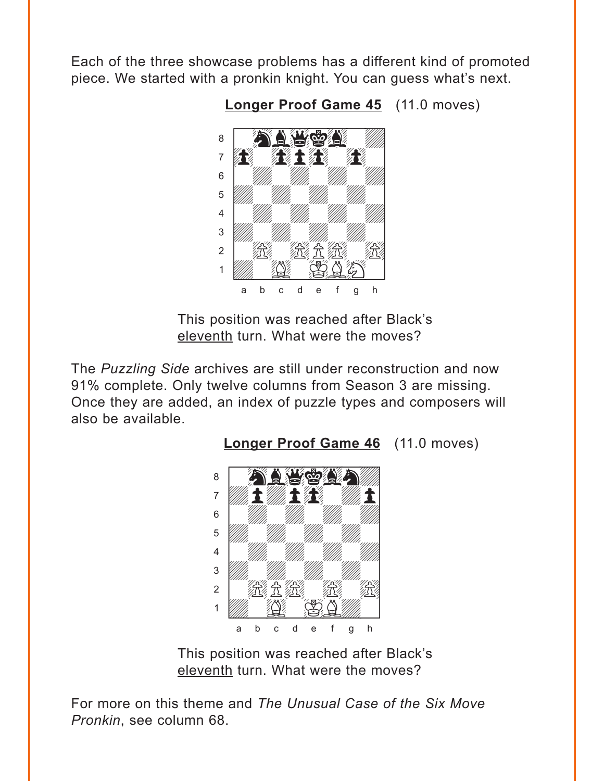<span id="page-4-0"></span>Each of the three showcase problems has a different kind of promoted piece. We started with a pronkin knight. You can guess what's next.



**[Longer Proof Game 45](#page-7-0)** (11.0 moves)

This position was reached after Black's eleventh turn. What were the moves?

The *Puzzling Side* archives are still under reconstruction and now 91% complete. Only twelve columns from Season 3 are missing. Once they are added, an index of puzzle types and composers will also be available.



This position was reached after Black's eleventh turn. What were the moves?

For more on this theme and *The Unusual Case of the Six Move Pronkin*, see column 68.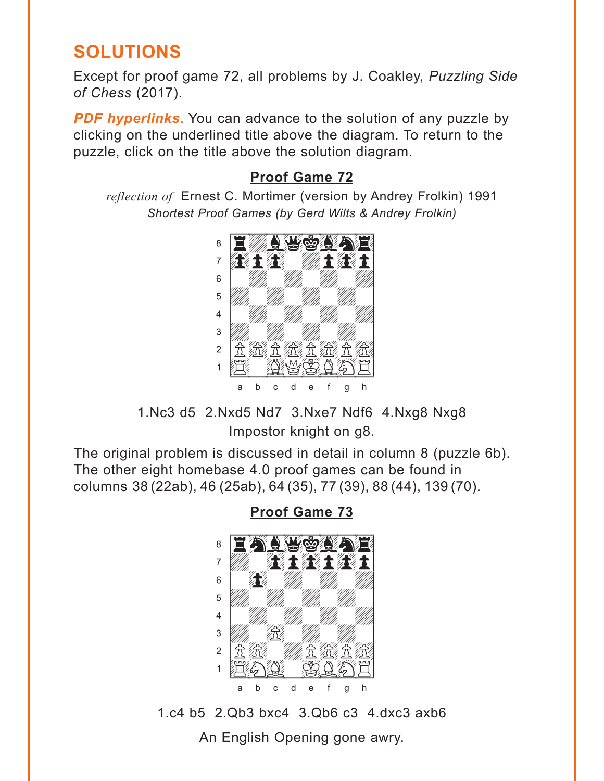## <span id="page-5-0"></span>**SOLUTIONS**

Except for proof game 72, all problems by J. Coakley, *Puzzling Side of Chess* (2017).

**PDF hyperlinks.** You can advance to the solution of any puzzle by clicking on the underlined title above the diagram. To return to the puzzle, click on the title above the solution diagram.

### **[Proof Game 72](#page-0-0)**

*reflection of* Ernest C. Mortimer (version by Andrey Frolkin) 1991 *Shortest Proof Games (by Gerd Wilts & Andrey Frolkin)*



1.Nc3 d5 2.Nxd5 Nd7 3.Nxe7 Ndf6 4.Nxg8 Nxg8 Impostor knight on g8.

The original problem is discussed in detail in column 8 (puzzle 6b). The other eight homebase 4.0 proof games can be found in columns 38 (22ab), 46 (25ab), 64 (35), 77 (39), 88 (44), 139 (70).

> with the set of the set of the set of the set of the set of the set of the set of the set of the set of the set of the set of the set of the set of the set of the set of the set of the set of the set of the set of the set <u>a Eann World II</u> }}}}}}}<br>}}}**}**<br>}}}}}}  $\mathbf{s} = \mathbf{f} \mathbf{f}$  where  $\mathbf{f}$ 5 *VIII. VIII. VIII.* 4 | *William William William William William William William William William William William William William William William William William William William William William William William William William William William W*  $\frac{1}{2}$   $\frac{1}{2}$   $\frac{1}{2}$   $\frac{1}{2}$   $\frac{1}{2}$   $\frac{1}{2}$   $\frac{1}{2}$   $\frac{1}{2}$   $\frac{1}{2}$   $\frac{1}{2}$   $\frac{1}{2}$   $\frac{1}{2}$   $\frac{1}{2}$   $\frac{1}{2}$   $\frac{1}{2}$   $\frac{1}{2}$   $\frac{1}{2}$   $\frac{1}{2}$   $\frac{1}{2}$   $\frac{1}{2}$   $\frac{1}{2}$   $\frac{1}{2}$  2 |允 然 ///////允 (允 允  $\cdot$  EASE a b c d e f g h

**Proof Game 73**

1.c4 b5 2.Qb3 bxc4 3.Qb6 c3 4.dxc3 axb6

An English Opening gone awry.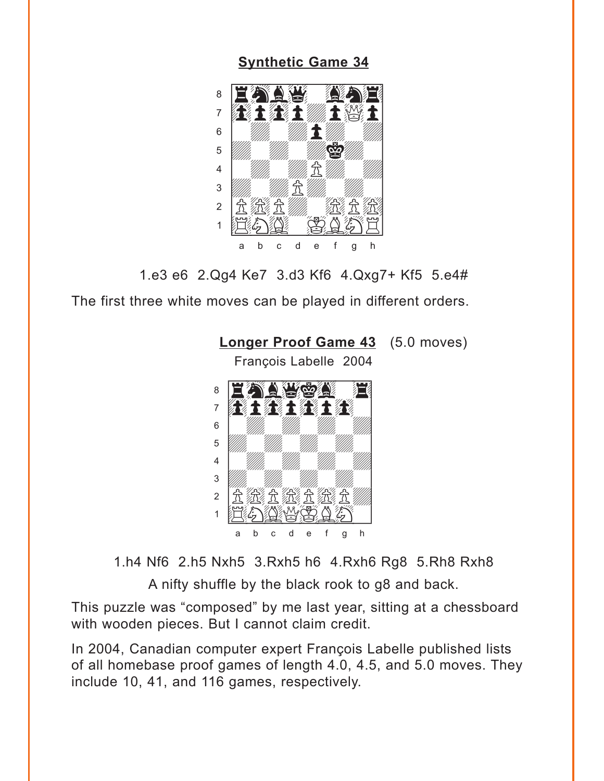#### **[Synthetic Game 34](#page-2-0)**

<span id="page-6-0"></span>

1.e3 e6 2.Qg4 Ke7 3.d3 Kf6 4.Qxg7+ Kf5 5.e4#

The first three white moves can be played in different orders.



1.h4 Nf6 2.h5 Nxh5 3.Rxh5 h6 4.Rxh6 Rg8 5.Rh8 Rxh8

A nifty shuffle by the black rook to g8 and back.

This puzzle was "composed" by me last year, sitting at a chessboard with wooden pieces. But I cannot claim credit.

In 2004, Canadian computer expert François Labelle published lists of all homebase proof games of length 4.0, 4.5, and 5.0 moves. They include 10, 41, and 116 games, respectively.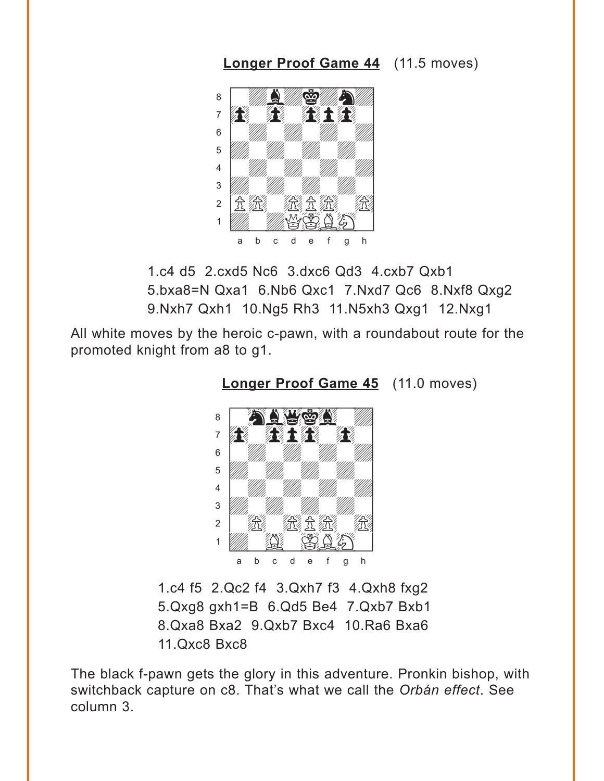<span id="page-7-0"></span>**[Longer Proof Game 44](#page-3-0)** (11.5 moves)



1.c4 d5 2.cxd5 Nc6 3.dxc6 Qd3 4.cxb7 Qxb1 5.bxa8=N Qxa1 6.Nb6 Qxc1 7.Nxd7 Qc6 8.Nxf8 Qxg2 9.Nxh7 Qxh1 10.Ng5 Rh3 11.N5xh3 Qxg1 12.Nxg1

All white moves by the heroic c-pawn, with a roundabout route for the promoted knight from a8 to g1.



**[Longer Proof Game 45](#page-4-0)** (11.0 moves)

1.c4 f5 2.Qc2 f4 3.Qxh7 f3 4.Qxh8 fxg2 5.Qxg8 gxh1=B 6.Qd5 Be4 7.Qxb7 Bxb1 8.Qxa8 Bxa2 9.Qxb7 Bxc4 10.Ra6 Bxa6 11.Qxc8 Bxc8

The black f-pawn gets the glory in this adventure. Pronkin bishop, with switchback capture on c8. That's what we call the *Orbán effect*. See column 3.